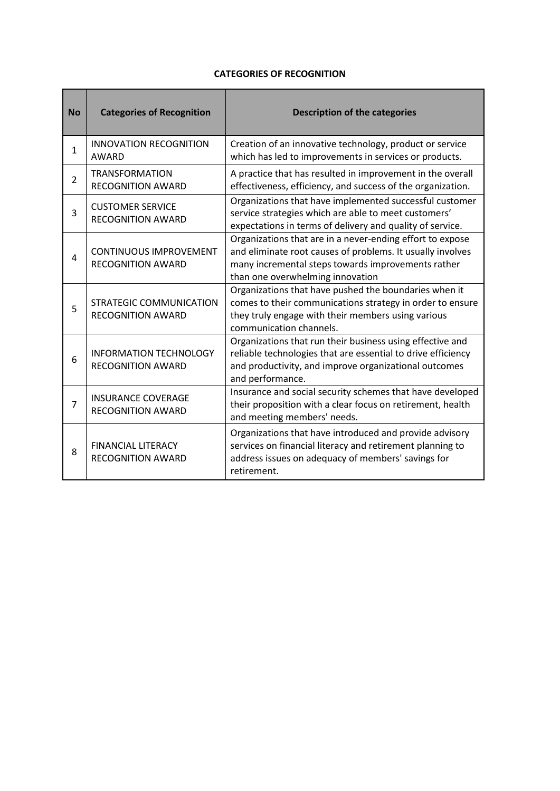## **CATEGORIES OF RECOGNITION**

 $\overline{\phantom{a}}$ 

and the

| <b>No</b>    | <b>Categories of Recognition</b>                          | <b>Description of the categories</b>                                                                                                                                                                              |  |  |  |
|--------------|-----------------------------------------------------------|-------------------------------------------------------------------------------------------------------------------------------------------------------------------------------------------------------------------|--|--|--|
| $\mathbf{1}$ | <b>INNOVATION RECOGNITION</b><br>AWARD                    | Creation of an innovative technology, product or service<br>which has led to improvements in services or products.                                                                                                |  |  |  |
| 2            | <b>TRANSFORMATION</b><br><b>RECOGNITION AWARD</b>         | A practice that has resulted in improvement in the overall<br>effectiveness, efficiency, and success of the organization.                                                                                         |  |  |  |
| 3            | <b>CUSTOMER SERVICE</b><br><b>RECOGNITION AWARD</b>       | Organizations that have implemented successful customer<br>service strategies which are able to meet customers'<br>expectations in terms of delivery and quality of service.                                      |  |  |  |
| 4            | <b>CONTINUOUS IMPROVEMENT</b><br><b>RECOGNITION AWARD</b> | Organizations that are in a never-ending effort to expose<br>and eliminate root causes of problems. It usually involves<br>many incremental steps towards improvements rather<br>than one overwhelming innovation |  |  |  |
| 5            | STRATEGIC COMMUNICATION<br><b>RECOGNITION AWARD</b>       | Organizations that have pushed the boundaries when it<br>comes to their communications strategy in order to ensure<br>they truly engage with their members using various<br>communication channels.               |  |  |  |
| 6            | <b>INFORMATION TECHNOLOGY</b><br><b>RECOGNITION AWARD</b> | Organizations that run their business using effective and<br>reliable technologies that are essential to drive efficiency<br>and productivity, and improve organizational outcomes<br>and performance.            |  |  |  |
| 7            | <b>INSURANCE COVERAGE</b><br><b>RECOGNITION AWARD</b>     | Insurance and social security schemes that have developed<br>their proposition with a clear focus on retirement, health<br>and meeting members' needs.                                                            |  |  |  |
| 8            | <b>FINANCIAL LITERACY</b><br><b>RECOGNITION AWARD</b>     | Organizations that have introduced and provide advisory<br>services on financial literacy and retirement planning to<br>address issues on adequacy of members' savings for<br>retirement.                         |  |  |  |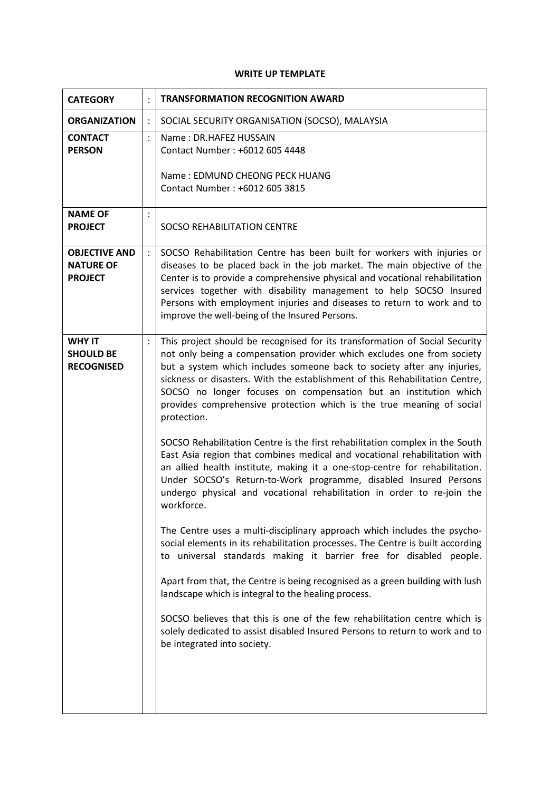## **WRITE UP TEMPLATE**

| <b>CATEGORY</b>                                            |                | <b>TRANSFORMATION RECOGNITION AWARD</b>                                                                                                                                                                                                                                                                                                                                                                                                                                                                                                                                                                                                                                                                                                                                                                                                                                                                                                                                                                                                                                                                                                                                                                                                                                                                                                                                                                                                                      |  |  |  |
|------------------------------------------------------------|----------------|--------------------------------------------------------------------------------------------------------------------------------------------------------------------------------------------------------------------------------------------------------------------------------------------------------------------------------------------------------------------------------------------------------------------------------------------------------------------------------------------------------------------------------------------------------------------------------------------------------------------------------------------------------------------------------------------------------------------------------------------------------------------------------------------------------------------------------------------------------------------------------------------------------------------------------------------------------------------------------------------------------------------------------------------------------------------------------------------------------------------------------------------------------------------------------------------------------------------------------------------------------------------------------------------------------------------------------------------------------------------------------------------------------------------------------------------------------------|--|--|--|
| <b>ORGANIZATION</b>                                        |                | SOCIAL SECURITY ORGANISATION (SOCSO), MALAYSIA                                                                                                                                                                                                                                                                                                                                                                                                                                                                                                                                                                                                                                                                                                                                                                                                                                                                                                                                                                                                                                                                                                                                                                                                                                                                                                                                                                                                               |  |  |  |
| <b>CONTACT</b><br><b>PERSON</b>                            | $\ddot{\cdot}$ | Name: DR.HAFEZ HUSSAIN<br>Contact Number: +6012 605 4448<br>Name: EDMUND CHEONG PECK HUANG<br>Contact Number: +6012 605 3815                                                                                                                                                                                                                                                                                                                                                                                                                                                                                                                                                                                                                                                                                                                                                                                                                                                                                                                                                                                                                                                                                                                                                                                                                                                                                                                                 |  |  |  |
| <b>NAME OF</b><br><b>PROJECT</b>                           |                | <b>SOCSO REHABILITATION CENTRE</b>                                                                                                                                                                                                                                                                                                                                                                                                                                                                                                                                                                                                                                                                                                                                                                                                                                                                                                                                                                                                                                                                                                                                                                                                                                                                                                                                                                                                                           |  |  |  |
| <b>OBJECTIVE AND</b><br><b>NATURE OF</b><br><b>PROJECT</b> |                | SOCSO Rehabilitation Centre has been built for workers with injuries or<br>diseases to be placed back in the job market. The main objective of the<br>Center is to provide a comprehensive physical and vocational rehabilitation<br>services together with disability management to help SOCSO Insured<br>Persons with employment injuries and diseases to return to work and to<br>improve the well-being of the Insured Persons.                                                                                                                                                                                                                                                                                                                                                                                                                                                                                                                                                                                                                                                                                                                                                                                                                                                                                                                                                                                                                          |  |  |  |
| <b>WHY IT</b><br><b>SHOULD BE</b><br><b>RECOGNISED</b>     | $\ddot{\cdot}$ | This project should be recognised for its transformation of Social Security<br>not only being a compensation provider which excludes one from society<br>but a system which includes someone back to society after any injuries,<br>sickness or disasters. With the establishment of this Rehabilitation Centre,<br>SOCSO no longer focuses on compensation but an institution which<br>provides comprehensive protection which is the true meaning of social<br>protection.<br>SOCSO Rehabilitation Centre is the first rehabilitation complex in the South<br>East Asia region that combines medical and vocational rehabilitation with<br>an allied health institute, making it a one-stop-centre for rehabilitation.<br>Under SOCSO's Return-to-Work programme, disabled Insured Persons<br>undergo physical and vocational rehabilitation in order to re-join the<br>workforce.<br>The Centre uses a multi-disciplinary approach which includes the psycho-<br>social elements in its rehabilitation processes. The Centre is built according<br>to universal standards making it barrier free for disabled people.<br>Apart from that, the Centre is being recognised as a green building with lush<br>landscape which is integral to the healing process.<br>SOCSO believes that this is one of the few rehabilitation centre which is<br>solely dedicated to assist disabled Insured Persons to return to work and to<br>be integrated into society. |  |  |  |